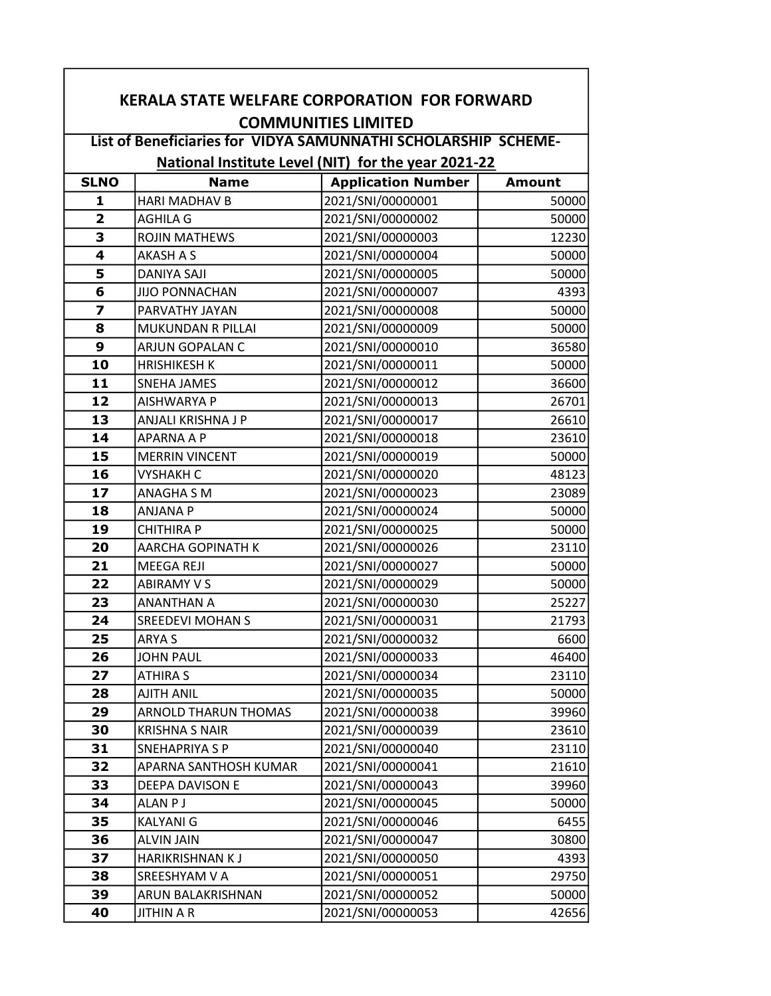| <b>KERALA STATE WELFARE CORPORATION FOR FORWARD</b>            |                             |                           |               |  |  |
|----------------------------------------------------------------|-----------------------------|---------------------------|---------------|--|--|
| <b>COMMUNITIES LIMITED</b>                                     |                             |                           |               |  |  |
| List of Beneficiaries for VIDYA SAMUNNATHI SCHOLARSHIP SCHEME- |                             |                           |               |  |  |
| National Institute Level (NIT) for the year 2021-22            |                             |                           |               |  |  |
| <b>SLNO</b>                                                    | <b>Name</b>                 | <b>Application Number</b> | <b>Amount</b> |  |  |
| 1                                                              | <b>HARI MADHAV B</b>        | 2021/SNI/00000001         | 50000         |  |  |
| $\overline{2}$                                                 | <b>AGHILA G</b>             | 2021/SNI/00000002         | 50000         |  |  |
| 3                                                              | <b>ROJIN MATHEWS</b>        | 2021/SNI/00000003         | 12230         |  |  |
| 4                                                              | <b>AKASH A S</b>            | 2021/SNI/00000004         | 50000         |  |  |
| 5                                                              | <b>DANIYA SAJI</b>          | 2021/SNI/00000005         | 50000         |  |  |
| 6                                                              | <b>JIJO PONNACHAN</b>       | 2021/SNI/00000007         | 4393          |  |  |
| $\overline{z}$                                                 | PARVATHY JAYAN              | 2021/SNI/00000008         | 50000         |  |  |
| 8                                                              | <b>MUKUNDAN R PILLAI</b>    | 2021/SNI/00000009         | 50000         |  |  |
| 9                                                              | ARJUN GOPALAN C             | 2021/SNI/00000010         | 36580         |  |  |
| 10                                                             | <b>HRISHIKESH K</b>         | 2021/SNI/00000011         | 50000         |  |  |
| 11                                                             | <b>SNEHA JAMES</b>          | 2021/SNI/00000012         | 36600         |  |  |
| 12                                                             | AISHWARYA P                 | 2021/SNI/00000013         | 26701         |  |  |
| 13                                                             | ANJALI KRISHNA J P          | 2021/SNI/00000017         | 26610         |  |  |
| 14                                                             | <b>APARNA A P</b>           | 2021/SNI/00000018         | 23610         |  |  |
| 15                                                             | <b>MERRIN VINCENT</b>       | 2021/SNI/00000019         | 50000         |  |  |
| 16                                                             | <b>VYSHAKH C</b>            | 2021/SNI/00000020         | 48123         |  |  |
| 17                                                             | ANAGHA S M                  | 2021/SNI/00000023         | 23089         |  |  |
| 18                                                             | <b>ANJANA P</b>             | 2021/SNI/00000024         | 50000         |  |  |
| 19                                                             | <b>CHITHIRA P</b>           | 2021/SNI/00000025         | 50000         |  |  |
| 20                                                             | AARCHA GOPINATH K           | 2021/SNI/00000026         | 23110         |  |  |
| 21                                                             | <b>MEEGA REJI</b>           | 2021/SNI/00000027         | 50000         |  |  |
| 22                                                             | <b>ABIRAMY V S</b>          | 2021/SNI/00000029         | 50000         |  |  |
| 23                                                             | <b>ANANTHAN A</b>           | 2021/SNI/00000030         | 25227         |  |  |
| 24                                                             | <b>SREEDEVI MOHAN S</b>     | 2021/SNI/00000031         | 21793         |  |  |
| 25                                                             | ARYA S                      | 2021/SNI/00000032         | 6600          |  |  |
| 26                                                             | <b>JOHN PAUL</b>            | 2021/SNI/00000033         | 46400         |  |  |
| 27                                                             | <b>ATHIRA S</b>             | 2021/SNI/00000034         | 23110         |  |  |
| 28                                                             | <b>AJITH ANIL</b>           | 2021/SNI/00000035         | 50000         |  |  |
| 29                                                             | <b>ARNOLD THARUN THOMAS</b> | 2021/SNI/00000038         | 39960         |  |  |
| 30                                                             | <b>KRISHNA S NAIR</b>       | 2021/SNI/00000039         | 23610         |  |  |
| 31                                                             | SNEHAPRIYA S P              | 2021/SNI/00000040         | 23110         |  |  |
| 32                                                             | APARNA SANTHOSH KUMAR       | 2021/SNI/00000041         | 21610         |  |  |
| 33                                                             | DEEPA DAVISON E             | 2021/SNI/00000043         | 39960         |  |  |
| 34                                                             | ALAN P J                    | 2021/SNI/00000045         | 50000         |  |  |
| 35                                                             | <b>KALYANI G</b>            | 2021/SNI/00000046         | 6455          |  |  |
| 36                                                             | <b>ALVIN JAIN</b>           | 2021/SNI/00000047         | 30800         |  |  |
| 37                                                             | HARIKRISHNAN KJ             | 2021/SNI/00000050         | 4393          |  |  |
| 38                                                             | SREESHYAM V A               | 2021/SNI/00000051         | 29750         |  |  |
| 39                                                             | ARUN BALAKRISHNAN           | 2021/SNI/00000052         | 50000         |  |  |
| 40                                                             | <b>JITHIN A R</b>           | 2021/SNI/00000053         | 42656         |  |  |